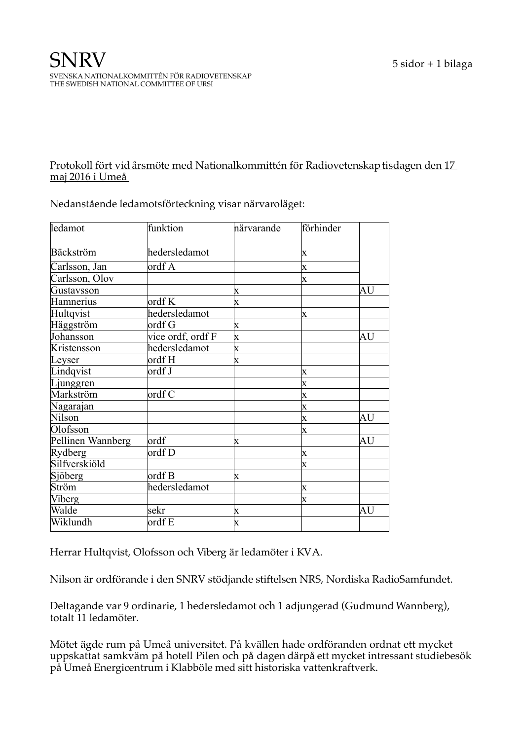## Protokoll fört vid årsmöte med Nationalkommittén för Radiovetenskap tisdagen den 17 maj 2016 i Umeå

| ledamot           | funktion          | närvarande                | förhinder               |    |
|-------------------|-------------------|---------------------------|-------------------------|----|
| Bäckström         | hedersledamot     |                           | X                       |    |
| Carlsson, Jan     | ordf A            |                           | X                       |    |
| Carlsson, Olov    |                   |                           | $\overline{\text{X}}$   |    |
| Gustavsson        |                   | $\mathbf x$               |                         | AU |
| Hamnerius         | $\text{ordf } K$  | x                         |                         |    |
| Hultqvist         | hedersledamot     |                           | X                       |    |
| Häggström         | ordf G            | $\boldsymbol{\mathrm{X}}$ |                         |    |
| Johansson         | vice ordf, ordf F | $\mathbf x$               |                         | AU |
| Kristensson       | hedersledamot     | $\boldsymbol{\mathrm{X}}$ |                         |    |
| Leyser            | ordf H            | $\boldsymbol{\mathrm{X}}$ |                         |    |
| Lindqvist         | ordf J            |                           | X                       |    |
| Ljunggren         |                   |                           | X                       |    |
| Markström         | $\alpha$ df C     |                           | $\overline{\textbf{X}}$ |    |
| Nagarajan         |                   |                           | $\overline{\text{X}}$   |    |
| Nilson            |                   |                           | $\overline{\text{X}}$   | AU |
| Olofsson          |                   |                           | $\overline{\text{X}}$   |    |
| Pellinen Wannberg | ordf              | $\mathbf x$               |                         | AU |
| Rydberg           | ordf D            |                           | X                       |    |
| Silfverskiöld     |                   |                           | $\overline{\text{X}}$   |    |
| Sjöberg           | $\alpha$ ordf B   | x                         |                         |    |
| Ström             | hedersledamot     |                           | X                       |    |
| Viberg            |                   |                           | $\overline{\text{X}}$   |    |
| Walde             | sekr              | X                         |                         | ΑU |
| Wiklundh          | $\text{ordf } E$  | $\mathbf x$               |                         |    |

Nedanstående ledamotsförteckning visar närvaroläget:

Herrar Hultqvist, Olofsson och Viberg är ledamöter i KVA.

Nilson är ordförande i den SNRV stödjande stiftelsen NRS, Nordiska RadioSamfundet.

Deltagande var 9 ordinarie, 1 hedersledamot och 1 adjungerad (Gudmund Wannberg), totalt 11 ledamöter.

Mötet ägde rum på Umeå universitet. På kvällen hade ordföranden ordnat ett mycket uppskattat samkväm på hotell Pilen och på dagen därpå ett mycket intressant studiebesök på Umeå Energicentrum i Klabböle med sitt historiska vattenkraftverk.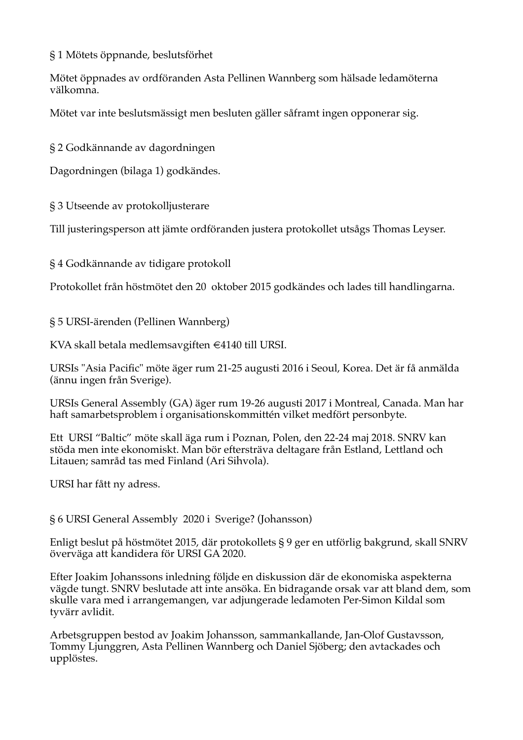§1 Mötets öppnande, beslutsförhet

Mötet öppnades av ordföranden Asta Pellinen Wannberg som hälsade ledamöterna välkomna.

Mötet var inte beslutsmässigt men besluten gäller såframt ingen opponerar sig.

§ 2 Godkännande av dagordningen

Dagordningen (bilaga 1) godkändes.

§ 3 Utseende av protokolljusterare

Till justeringsperson att jämte ordföranden justera protokollet utsågs Thomas Leyser.

§ 4 Godkännande av tidigare protokoll

Protokollet från höstmötet den 20 oktober 2015 godkändes och lades till handlingarna.

§ 5 URSI-ärenden (Pellinen Wannberg)

KVA skall betala medlemsavgiften €4140 till URSI.

URSIs "Asia Pacific" möte äger rum 21-25 augusti 2016 i Seoul, Korea. Det är få anmälda (ännu ingen från Sverige).

URSIs General Assembly (GA) äger rum 19-26 augusti 2017 i Montreal, Canada. Man har haft samarbetsproblem i organisationskommittén vilket medfört personbyte.

Ett URSI "Baltic" möte skall äga rum i Poznan, Polen, den 22-24 maj 2018. SNRV kan stöda men inte ekonomiskt. Man bör eftersträva deltagare från Estland, Lettland och Litauen; samråd tas med Finland (Ari Sihvola).

URSI har fått ny adress.

§ 6 URSI General Assembly 2020 i Sverige? (Johansson)

Enligt beslut på höstmötet 2015, där protokollets § 9 ger en utförlig bakgrund, skall SNRV överväga att kandidera för URSI GA 2020.

Efter Joakim Johanssons inledning följde en diskussion där de ekonomiska aspekterna vägde tungt. SNRV beslutade att inte ansöka. En bidragande orsak var att bland dem, som skulle vara med i arrangemangen, var adjungerade ledamoten Per-Simon Kildal som tvvärr avlidit.

Arbetsgruppen bestod av Joakim Johansson, sammankallande, Jan-Olof Gustavsson, Tommy Ljunggren, Asta Pellinen Wannberg och Daniel Sjöberg; den avtackades och upplöstes.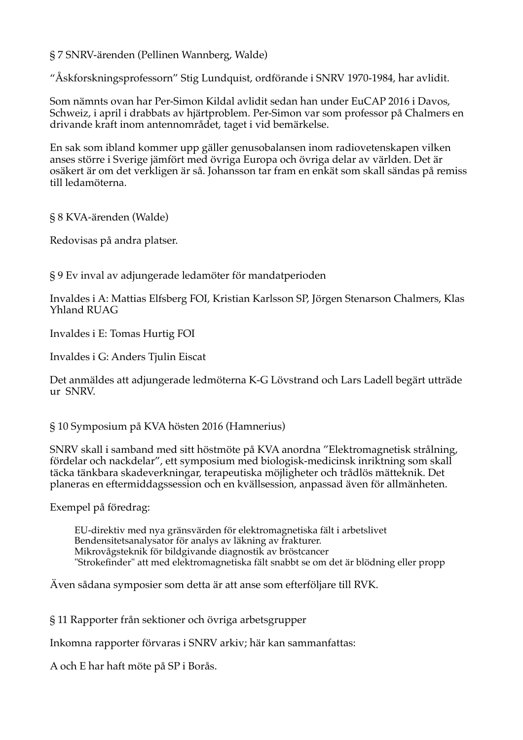§ 7 SNRV-ärenden (Pellinen Wannberg, Walde)

"Åskforskningsprofessorn" Stig Lundquist, ordförande i SNRV 1970-1984, har avlidit.

Som nämnts ovan har Per-Simon Kildal avlidit sedan han under EuCAP 2016 i Davos, Schweiz, i april i drabbats av hjärtproblem. Per-Simon var som professor på Chalmers en drivande kraft inom antennområdet, taget i vid bemärkelse.

En sak som ibland kommer upp gäller genusobalansen inom radiovetenskapen vilken anses större i Sverige jämfört med övriga Europa och övriga delar av världen. Det är osäkert är om det verkligen är så. Johansson tar fram en enkät som skall sändas på remiss till ledamöterna.

§ 8 KVA-ärenden (Walde)

Redovisas på andra platser.

§9 Ev inval av adjungerade ledamöter för mandatperioden

Invaldes i A: Mattias Elfsberg FOI, Kristian Karlsson SP, Jörgen Stenarson Chalmers, Klas Yhland RUAG

Invaldes i E: Tomas Hurtig FOI

Invaldes i G: Anders Tjulin Eiscat

Det anmäldes att adjungerade ledmöterna K-G Lövstrand och Lars Ladell begärt utträde ur SNRV.

§ 10 Symposium på KVA hösten 2016 (Hamnerius)

SNRV skall i samband med sitt höstmöte på KVA anordna "Elektromagnetisk strålning, fördelar och nackdelar", ett symposium med biologisk-medicinsk inriktning som skall täcka tänkbara skadeverkningar, terapeutiska möjligheter och trådlös mätteknik. Det planeras en eftermiddagssession och en kvällsession, anpassad även för allmänheten.

Exempel på föredrag:

EU-direktiv med nya gränsvärden för elektromagnetiska fält i arbetslivet Bendensitetsanalysator för analys av läkning av frakturer. Mikrovågsteknik för bildgivande diagnostik av bröstcancer "Strokefinder" att med elektromagnetiska fält snabbt se om det är blödning eller propp

Även sådana symposier som detta är att anse som efterföljare till RVK.

§ 11 Rapporter från sektioner och övriga arbetsgrupper

Inkomna rapporter förvaras i SNRV arkiv; här kan sammanfattas:

A och E har haft möte på SP i Borås.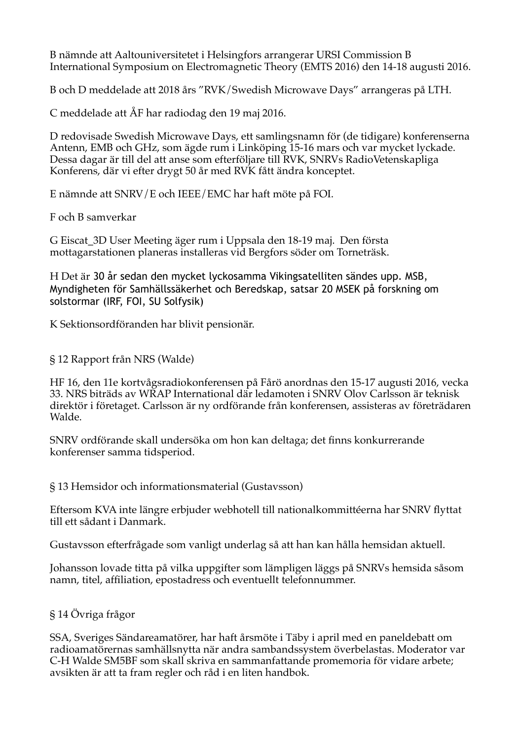B nämnde att Aaltouniversitetet i Helsingfors arrangerar URSI Commission B International Symposium on Electromagnetic Theory (EMTS 2016) den 14-18 augusti 2016.

B och D meddelade att 2018 års "RVK/Swedish Microwave Days" arrangeras på LTH.

C meddelade att ÅF har radiodag den 19 maj 2016.

D redovisade Swedish Microwave Days, ett samlingsnamn för (de tidigare) konferenserna Antenn, EMB och GHz, som ägde rum i Linköping 15-16 mars och var mycket lyckade. Dessa dagar är till del att anse som efterföljare till RVK. SNRVs RadioVetenskapliga Konferens, där vi efter drygt 50 år med RVK fått ändra konceptet.

E nämnde att SNRV/E och IEEE/EMC har haft möte på FOI.

F och B samverkar

G Eiscat\_3D User Meeting äger rum i Uppsala den 18-19 maj. Den första mottagarstationen planeras installeras vid Bergfors söder om Torneträsk.

H Det är 30 år sedan den mycket lyckosamma Vikingsatelliten sändes upp. MSB, Myndigheten för Samhällssäkerhet och Beredskap, satsar 20 MSEK på forskning om solstormar (IRF, FOI, SU Solfysik)

K Sektionsordföranden har blivit pensionär.

§ 12 Rapport från NRS (Walde)

HF 16, den 11e kortvågsradiokonferensen på Fårö anordnas den 15-17 augusti 2016, vecka 33. NRS biträds av WRAP International där ledamoten i SNRV Olov Carlsson är teknisk direktör i företaget. Carlsson är ny ordförande från konferensen, assisteras av företrädaren Walde.

SNRV ordförande skall undersöka om hon kan deltaga; det finns konkurrerande konferenser samma tidsperiod.

§ 13 Hemsidor och informationsmaterial (Gustavsson)

Eftersom KVA inte längre erbjuder webhotell till nationalkommittéerna har SNRV flyttat till ett sådant i Danmark.

Gustavsson efterfrågade som vanligt underlag så att han kan hålla hemsidan aktuell.

Johansson lovade titta på vilka uppgifter som lämpligen läggs på SNRVs hemsida såsom namn, titel, affiliation, epostadress och eventuellt telefonnummer.

§ 14 Övriga frågor

SSA, Sveriges Sändareamatörer, har haft årsmöte i Täby i april med en paneldebatt om radioamatörernas samhällsnytta när andra sambandssystem överbelastas. Moderator var C-H Walde SM5BF som skall skriva en sammanfattande promemoria för vidare arbete; avsikten är att ta fram regler och råd i en liten handbok.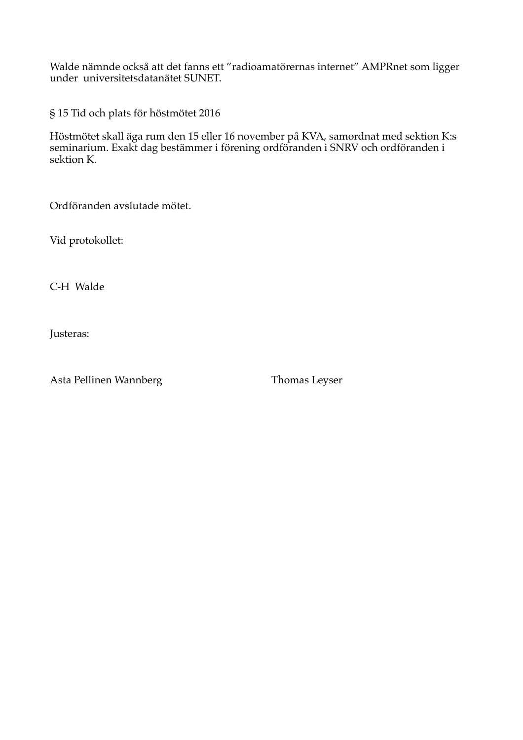Walde nämnde också att det fanns ett "radioamatörernas internet" AMPRnet som ligger under universitetsdatanätet SUNET.

§ 15 Tid och plats för höstmötet 2016

Höstmötet skall äga rum den 15 eller 16 november på KVA, samordnat med sektion K:s seminarium. Exakt dag bestämmer i förening ordföranden i SNRV och ordföranden i sektion K.

Ordföranden avslutade mötet.

Vid protokollet:

C-H Walde

Justeras:

Asta Pellinen Wannberg

Thomas Leyser